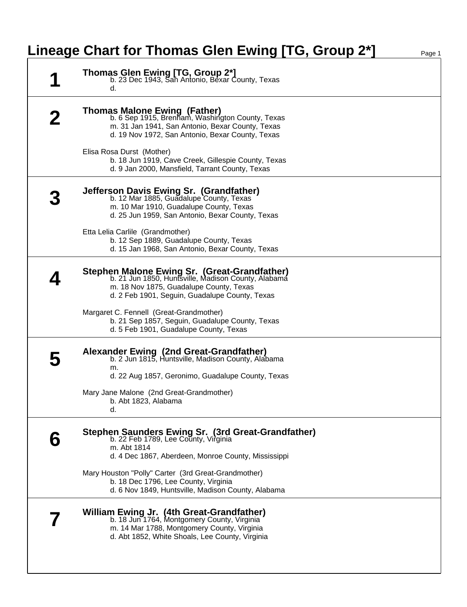## **Lineage Chart for Thomas Glen Ewing [TG, Group 2\*]** Page 1

| <b>Thomas Glen Ewing [TG, Group 2*]</b><br>b. 23 Dec 1943, San Antonio, Bexar County, Texas<br>d.                                                                                                       |
|---------------------------------------------------------------------------------------------------------------------------------------------------------------------------------------------------------|
| <b>Thomas Malone Ewing (Father)</b><br>b. 6 Sep 1915, Brenham, Washington County, Texas<br>m. 31 Jan 1941, San Antonio, Bexar County, Texas<br>d. 19 Nov 1972, San Antonio, Bexar County, Texas         |
| Elisa Rosa Durst (Mother)<br>b. 18 Jun 1919, Cave Creek, Gillespie County, Texas<br>d. 9 Jan 2000, Mansfield, Tarrant County, Texas                                                                     |
| Jefferson Davis Ewing Sr. (Grandfather)<br>b. 12 Mar 1885, Guadalupe County, Texas<br>m. 10 Mar 1910, Guadalupe County, Texas<br>d. 25 Jun 1959, San Antonio, Bexar County, Texas                       |
| Etta Lelia Carlile (Grandmother)<br>b. 12 Sep 1889, Guadalupe County, Texas<br>d. 15 Jan 1968, San Antonio, Bexar County, Texas                                                                         |
| <b>Stephen Malone Ewing Sr. (Great-Grandfather)</b><br>b. 21 Jun 1850, Huntsville, Madison County, Alabama<br>m. 18 Nov 1875, Guadalupe County, Texas<br>d. 2 Feb 1901, Seguin, Guadalupe County, Texas |
| Margaret C. Fennell (Great-Grandmother)<br>b. 21 Sep 1857, Seguin, Guadalupe County, Texas<br>d. 5 Feb 1901, Guadalupe County, Texas                                                                    |
| Alexander Ewing (2nd Great-Grandfather)<br>b. 2 Jun 1815, Huntsville, Madison County, Alabama<br>m.<br>d. 22 Aug 1857, Geronimo, Guadalupe County, Texas                                                |
| Mary Jane Malone (2nd Great-Grandmother)<br>b. Abt 1823, Alabama<br>d.                                                                                                                                  |
| Stephen Saunders Ewing Sr. (3rd Great-Grandfather)<br>b. 22 Feb 1789, Lee County, Virginia<br>m. Abt 1814<br>d. 4 Dec 1867, Aberdeen, Monroe County, Mississippi                                        |
| Mary Houston "Polly" Carter (3rd Great-Grandmother)<br>b. 18 Dec 1796, Lee County, Virginia<br>d. 6 Nov 1849, Huntsville, Madison County, Alabama                                                       |
| William Ewing Jr. (4th Great-Grandfather)<br>b. 18 Jun 1764, Montgomery County, Virginia<br>m. 14 Mar 1788, Montgomery County, Virginia<br>d. Abt 1852, White Shoals, Lee County, Virginia              |